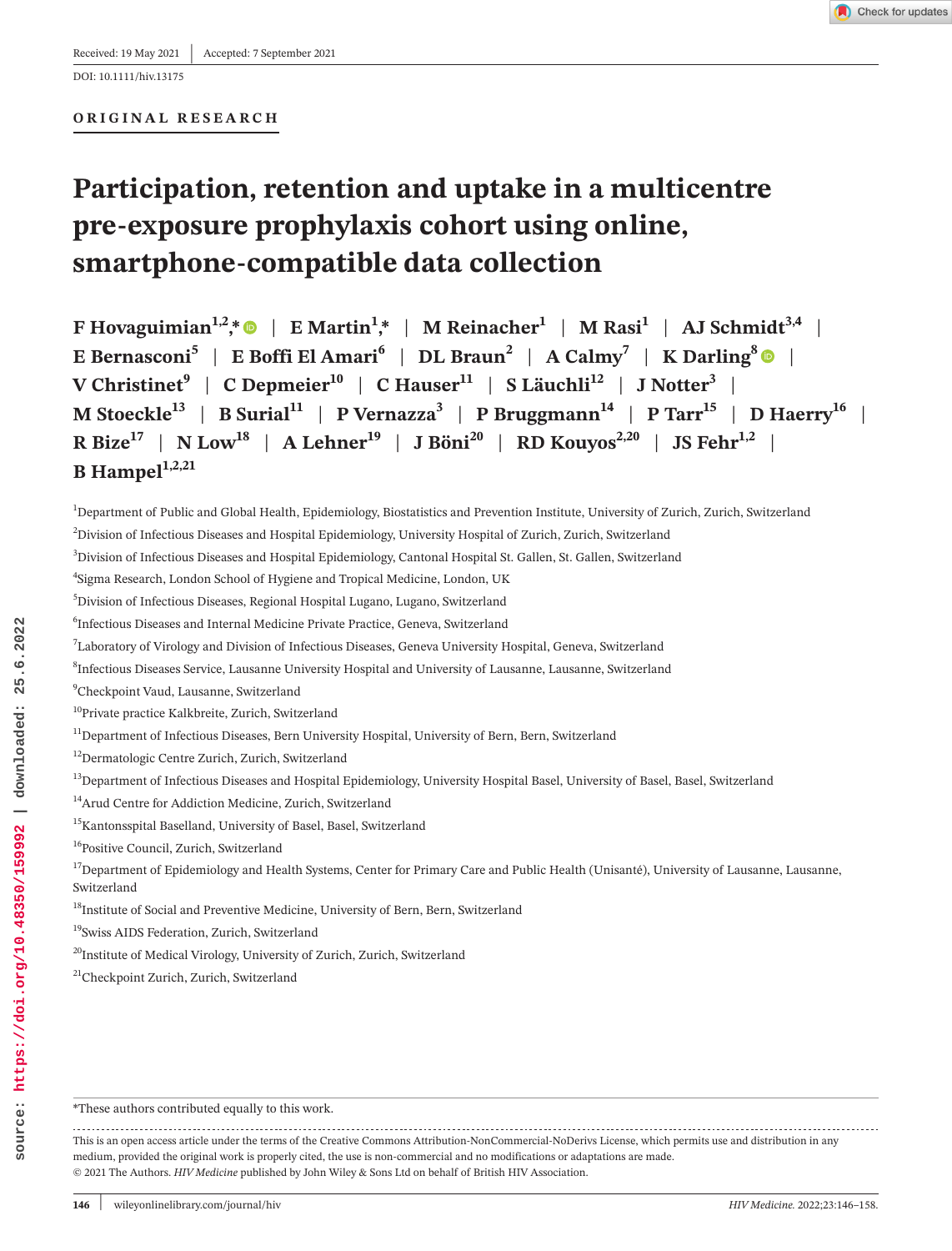DOI: 10.1111/hiv.13175

#### **ORIGINAL RESEARCH**

# **Participation, retention and uptake in a multicentre pre-exposure prophylaxis cohort using online, smartphone-compatible data collection**

**F** Hovaguimian<sup>1,2</sup>,[\\*](https://orcid.org/0000-0003-4181-2948)  $\bullet$  | E Martin<sup>1</sup>,\* | M Reinacher<sup>1</sup> | M Rasi<sup>1</sup> | AJ Schmidt<sup>3,4</sup> | **E Bernasconi**<sup>5</sup> | **E Boffi El Amari<sup>6</sup> | DL Braun<sup>2</sup> | A Calmy<sup>7</sup> | <b>K** Darling<sup>[8](https://orcid.org/0000-0003-1449-3873)</sup>  $\bullet$  |  $V$  Christinet<sup>9</sup> | C Depmeier<sup>10</sup> | C Hauser<sup>11</sup> | S Läuchli<sup>12</sup> | J Notter<sup>3</sup> | **M** Stoeckle<sup>13</sup> | **B** Surial<sup>11</sup> | **P** Vernazza<sup>3</sup> | **P** Bruggmann<sup>14</sup> | **P** Tarr<sup>15</sup> | **D** Haerry<sup>16</sup> | **R** Bize<sup>17</sup> | N Low<sup>18</sup> | A Lehner<sup>19</sup> | J Böni<sup>20</sup> | RD Kouyos<sup>2,20</sup> | JS Fehr<sup>1,2</sup> |  $B$  Hampel<sup>1,2,21</sup>

1 Department of Public and Global Health, Epidemiology, Biostatistics and Prevention Institute, University of Zurich, Zurich, Switzerland 2 Division of Infectious Diseases and Hospital Epidemiology, University Hospital of Zurich, Zurich, Switzerland

3 Division of Infectious Diseases and Hospital Epidemiology, Cantonal Hospital St. Gallen, St. Gallen, Switzerland

4 Sigma Research, London School of Hygiene and Tropical Medicine, London, UK

5 Division of Infectious Diseases, Regional Hospital Lugano, Lugano, Switzerland

6 Infectious Diseases and Internal Medicine Private Practice, Geneva, Switzerland

7 Laboratory of Virology and Division of Infectious Diseases, Geneva University Hospital, Geneva, Switzerland

8 Infectious Diseases Service, Lausanne University Hospital and University of Lausanne, Lausanne, Switzerland

9 Checkpoint Vaud, Lausanne, Switzerland

<sup>10</sup>Private practice Kalkbreite, Zurich, Switzerland

<sup>11</sup>Department of Infectious Diseases, Bern University Hospital, University of Bern, Bern, Switzerland

<sup>12</sup>Dermatologic Centre Zurich, Zurich, Switzerland

<sup>13</sup>Department of Infectious Diseases and Hospital Epidemiology, University Hospital Basel, University of Basel, Basel, Switzerland

- 14Arud Centre for Addiction Medicine, Zurich, Switzerland
- <sup>15</sup>Kantonsspital Baselland, University of Basel, Basel, Switzerland

<sup>16</sup>Positive Council, Zurich, Switzerland

<sup>17</sup>Department of Epidemiology and Health Systems, Center for Primary Care and Public Health (Unisanté), University of Lausanne, Lausanne, Switzerland

<sup>18</sup>Institute of Social and Preventive Medicine, University of Bern, Bern, Switzerland

19Swiss AIDS Federation, Zurich, Switzerland

<sup>20</sup>Institute of Medical Virology, University of Zurich, Zurich, Switzerland

<sup>21</sup>Checkpoint Zurich, Zurich, Switzerland

\*These authors contributed equally to this work.

This is an open access article under the terms of the Creative Commons [Attribution-NonCommercial-NoDerivs](http://creativecommons.org/licenses/by-nc-nd/4.0/) License, which permits use and distribution in any medium, provided the original work is properly cited, the use is non-commercial and no modifications or adaptations are made. © 2021 The Authors. *HIV Medicine* published by John Wiley & Sons Ltd on behalf of British HIV Association.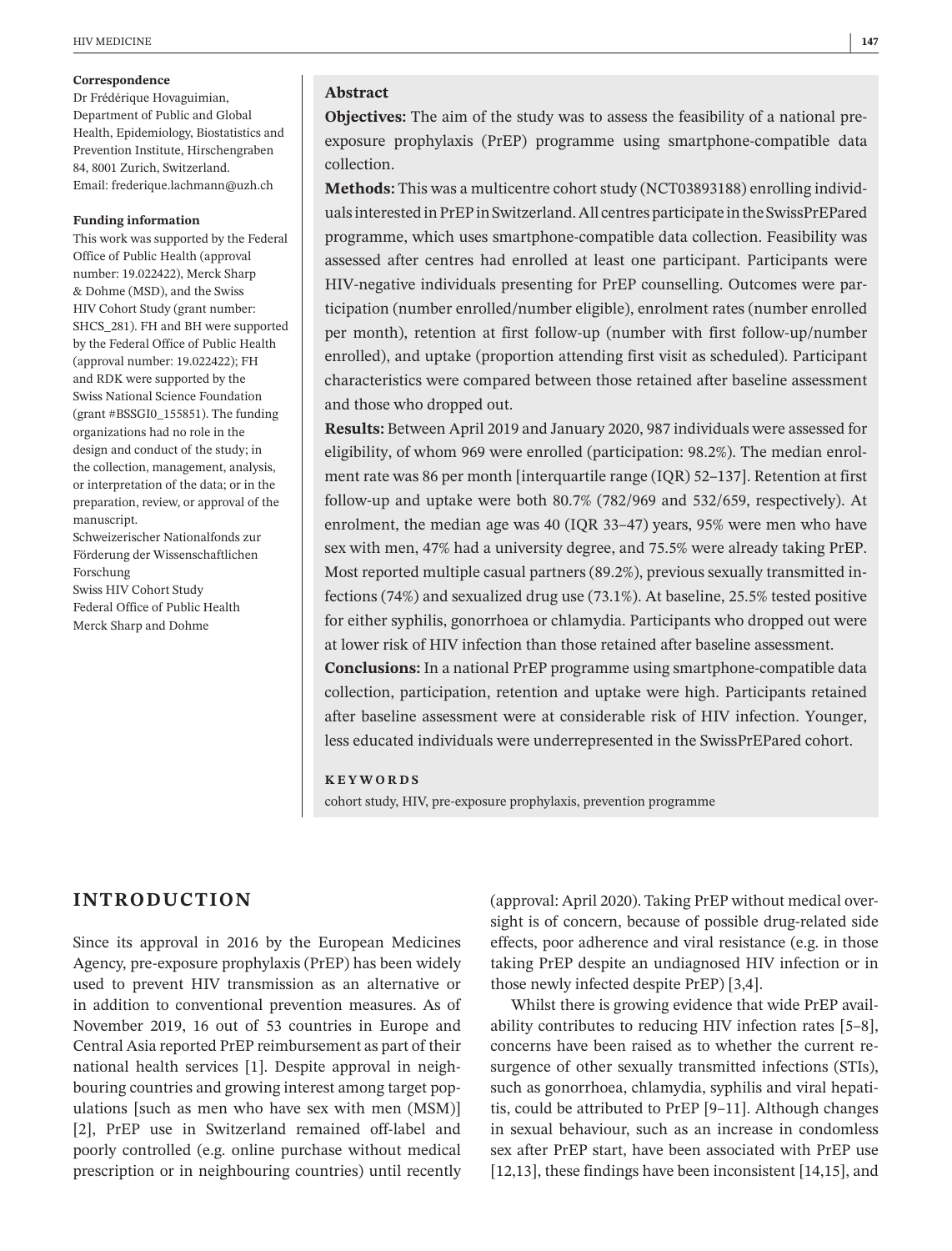#### **Correspondence**

Dr Frédérique Hovaguimian, Department of Public and Global Health, Epidemiology, Biostatistics and Prevention Institute, Hirschengraben 84, 8001 Zurich, Switzerland. Email: [frederique.lachmann@uzh.ch](mailto:frederique.lachmann@uzh.ch)

#### **Funding information**

This work was supported by the Federal Office of Public Health (approval number: 19.022422), Merck Sharp & Dohme (MSD), and the Swiss HIV Cohort Study (grant number: SHCS\_281). FH and BH were supported by the Federal Office of Public Health (approval number: 19.022422); FH and RDK were supported by the Swiss National Science Foundation (grant #BSSGI0\_155851). The funding organizations had no role in the design and conduct of the study; in the collection, management, analysis, or interpretation of the data; or in the preparation, review, or approval of the manuscript.

Schweizerischer Nationalfonds zur Förderung der Wissenschaftlichen Forschung Swiss HIV Cohort Study Federal Office of Public Health

Merck Sharp and Dohme

**Abstract**

**Objectives:** The aim of the study was to assess the feasibility of a national preexposure prophylaxis (PrEP) programme using smartphone-compatible data collection.

**Methods:** This was a multicentre cohort study (NCT03893188) enrolling individuals interested in PrEP in Switzerland. All centres participate in the SwissPrEPared programme, which uses smartphone-compatible data collection. Feasibility was assessed after centres had enrolled at least one participant. Participants were HIV-negative individuals presenting for PrEP counselling. Outcomes were participation (number enrolled/number eligible), enrolment rates (number enrolled per month), retention at first follow-up (number with first follow-up/number enrolled), and uptake (proportion attending first visit as scheduled). Participant characteristics were compared between those retained after baseline assessment and those who dropped out.

**Results:** Between April 2019 and January 2020, 987 individuals were assessed for eligibility, of whom 969 were enrolled (participation: 98.2%). The median enrolment rate was 86 per month [interquartile range (IQR) 52–137]. Retention at first follow-up and uptake were both 80.7% (782/969 and 532/659, respectively). At enrolment, the median age was 40 (IQR 33–47) years, 95% were men who have sex with men, 47% had a university degree, and 75.5% were already taking PrEP. Most reported multiple casual partners (89.2%), previous sexually transmitted infections (74%) and sexualized drug use (73.1%). At baseline, 25.5% tested positive for either syphilis, gonorrhoea or chlamydia. Participants who dropped out were at lower risk of HIV infection than those retained after baseline assessment.

**Conclusions:** In a national PrEP programme using smartphone-compatible data collection, participation, retention and uptake were high. Participants retained after baseline assessment were at considerable risk of HIV infection. Younger, less educated individuals were underrepresented in the SwissPrEPared cohort.

#### **KEYWORDS**

cohort study, HIV, pre-exposure prophylaxis, prevention programme

# **INTRODUCTION**

Since its approval in 2016 by the European Medicines Agency, pre-exposure prophylaxis (PrEP) has been widely used to prevent HIV transmission as an alternative or in addition to conventional prevention measures. As of November 2019, 16 out of 53 countries in Europe and Central Asia reported PrEP reimbursement as part of their national health services [1]. Despite approval in neighbouring countries and growing interest among target populations [such as men who have sex with men (MSM)] [2], PrEP use in Switzerland remained off-label and poorly controlled (e.g. online purchase without medical prescription or in neighbouring countries) until recently

(approval: April 2020). Taking PrEP without medical oversight is of concern, because of possible drug-related side effects, poor adherence and viral resistance (e.g. in those taking PrEP despite an undiagnosed HIV infection or in those newly infected despite PrEP) [3,4].

Whilst there is growing evidence that wide PrEP availability contributes to reducing HIV infection rates [5–8], concerns have been raised as to whether the current resurgence of other sexually transmitted infections (STIs), such as gonorrhoea, chlamydia, syphilis and viral hepatitis, could be attributed to PrEP [9–11]. Although changes in sexual behaviour, such as an increase in condomless sex after PrEP start, have been associated with PrEP use [12,13], these findings have been inconsistent [14,15], and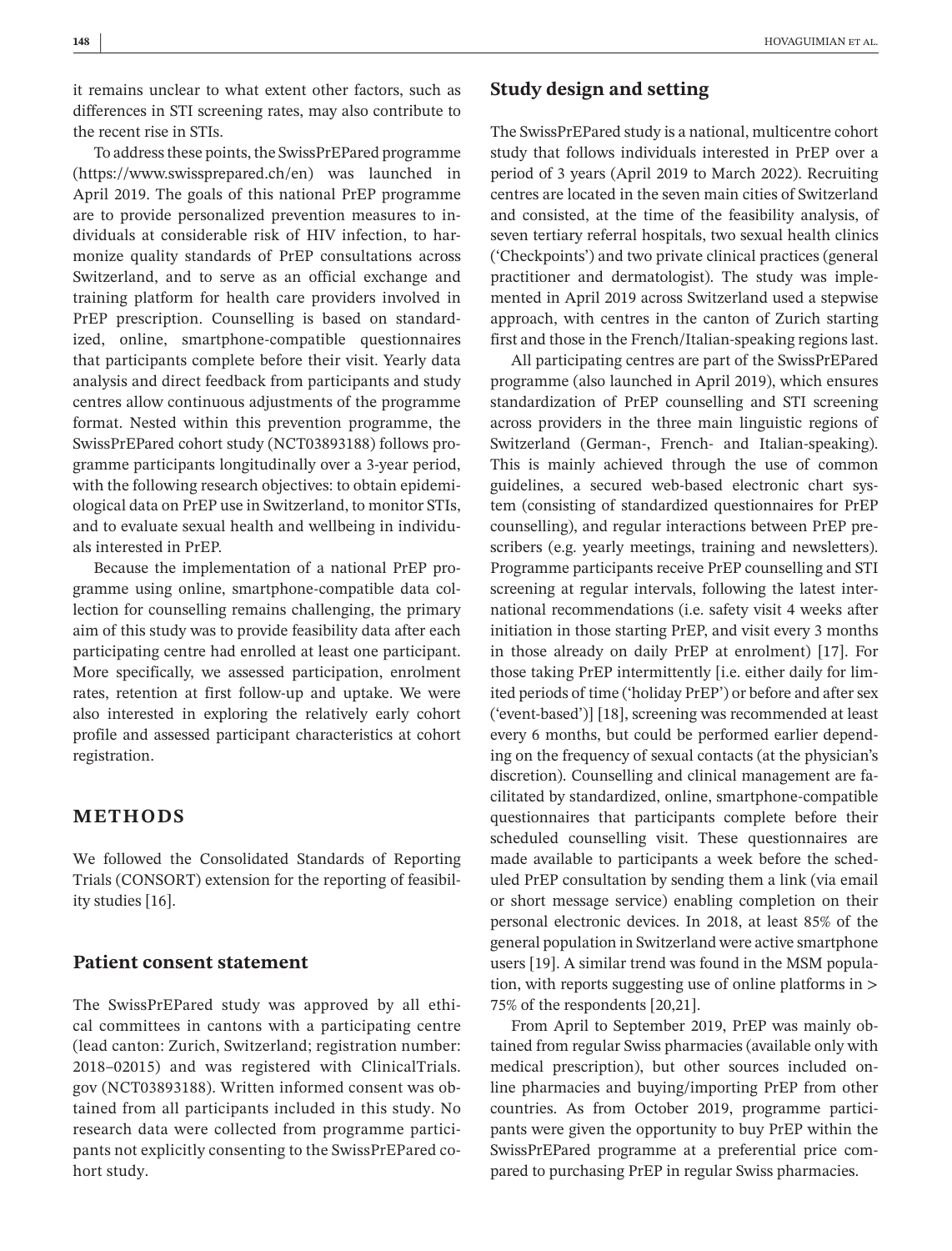it remains unclear to what extent other factors, such as differences in STI screening rates, may also contribute to the recent rise in STIs.

To addressthese points, the SwissPrEPared programme [\(https://www.swissprepared.ch/en\)](https://www.swissprepared.ch/en) was launched in April 2019. The goals of this national PrEP programme are to provide personalized prevention measures to individuals at considerable risk of HIV infection, to harmonize quality standards of PrEP consultations across Switzerland, and to serve as an official exchange and training platform for health care providers involved in PrEP prescription. Counselling is based on standardized, online, smartphone-compatible questionnaires that participants complete before their visit. Yearly data analysis and direct feedback from participants and study centres allow continuous adjustments of the programme format. Nested within this prevention programme, the SwissPrEPared cohort study (NCT03893188) follows programme participants longitudinally over a 3-year period, with the following research objectives: to obtain epidemiological data on PrEP use in Switzerland, to monitor STIs, and to evaluate sexual health and wellbeing in individuals interested in PrEP.

Because the implementation of a national PrEP programme using online, smartphone-compatible data collection for counselling remains challenging, the primary aim of this study was to provide feasibility data after each participating centre had enrolled at least one participant. More specifically, we assessed participation, enrolment rates, retention at first follow-up and uptake. We were also interested in exploring the relatively early cohort profile and assessed participant characteristics at cohort registration.

# **METHODS**

We followed the Consolidated Standards of Reporting Trials (CONSORT) extension for the reporting of feasibility studies [16].

### **Patient consent statement**

The SwissPrEPared study was approved by all ethical committees in cantons with a participating centre (lead canton: Zurich, Switzerland; registration number: 2018–02015) and was registered with ClinicalTrials. gov (NCT03893188). Written informed consent was obtained from all participants included in this study. No research data were collected from programme participants not explicitly consenting to the SwissPrEPared cohort study.

# **Study design and setting**

The SwissPrEPared study is a national, multicentre cohort study that follows individuals interested in PrEP over a period of 3 years (April 2019 to March 2022). Recruiting centres are located in the seven main cities of Switzerland and consisted, at the time of the feasibility analysis, of seven tertiary referral hospitals, two sexual health clinics ('Checkpoints') and two private clinical practices (general practitioner and dermatologist). The study was implemented in April 2019 across Switzerland used a stepwise approach, with centres in the canton of Zurich starting first and those in the French/Italian-speaking regions last.

All participating centres are part of the SwissPrEPared programme (also launched in April 2019), which ensures standardization of PrEP counselling and STI screening across providers in the three main linguistic regions of Switzerland (German-, French- and Italian-speaking). This is mainly achieved through the use of common guidelines, a secured web-based electronic chart system (consisting of standardized questionnaires for PrEP counselling), and regular interactions between PrEP prescribers (e.g. yearly meetings, training and newsletters). Programme participants receive PrEP counselling and STI screening at regular intervals, following the latest international recommendations (i.e. safety visit 4 weeks after initiation in those starting PrEP, and visit every 3 months in those already on daily PrEP at enrolment) [17]. For those taking PrEP intermittently [i.e. either daily for limited periods of time ('holiday PrEP') or before and after sex ('event-based')] [18], screening was recommended at least every 6 months, but could be performed earlier depending on the frequency of sexual contacts (at the physician's discretion). Counselling and clinical management are facilitated by standardized, online, smartphone-compatible questionnaires that participants complete before their scheduled counselling visit. These questionnaires are made available to participants a week before the scheduled PrEP consultation by sending them a link (via email or short message service) enabling completion on their personal electronic devices. In 2018, at least 85% of the general population in Switzerland were active smartphone users [19]. A similar trend was found in the MSM population, with reports suggesting use of online platforms in > 75% of the respondents [20,21].

From April to September 2019, PrEP was mainly obtained from regular Swiss pharmacies (available only with medical prescription), but other sources included online pharmacies and buying/importing PrEP from other countries. As from October 2019, programme participants were given the opportunity to buy PrEP within the SwissPrEPared programme at a preferential price compared to purchasing PrEP in regular Swiss pharmacies.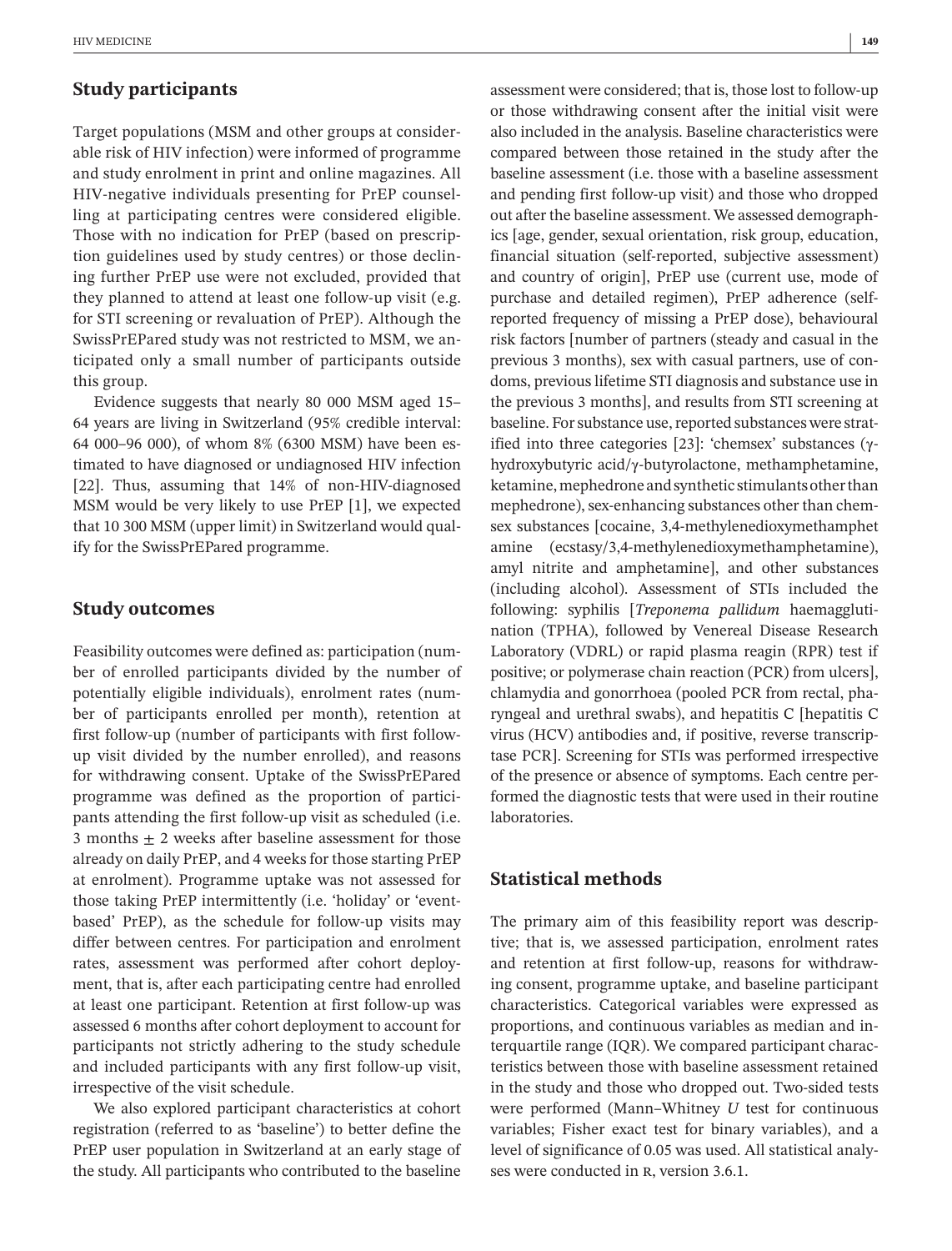## **Study participants**

Target populations (MSM and other groups at considerable risk of HIV infection) were informed of programme and study enrolment in print and online magazines. All HIV-negative individuals presenting for PrEP counselling at participating centres were considered eligible. Those with no indication for PrEP (based on prescription guidelines used by study centres) or those declining further PrEP use were not excluded, provided that they planned to attend at least one follow-up visit (e.g. for STI screening or revaluation of PrEP). Although the SwissPrEPared study was not restricted to MSM, we anticipated only a small number of participants outside this group.

Evidence suggests that nearly 80 000 MSM aged 15– 64 years are living in Switzerland (95% credible interval: 64 000–96 000), of whom 8% (6300 MSM) have been estimated to have diagnosed or undiagnosed HIV infection [22]. Thus, assuming that 14% of non-HIV-diagnosed MSM would be very likely to use PrEP [1], we expected that 10 300 MSM (upper limit) in Switzerland would qualify for the SwissPrEPared programme.

## **Study outcomes**

Feasibility outcomes were defined as: participation (number of enrolled participants divided by the number of potentially eligible individuals), enrolment rates (number of participants enrolled per month), retention at first follow-up (number of participants with first followup visit divided by the number enrolled), and reasons for withdrawing consent. Uptake of the SwissPrEPared programme was defined as the proportion of participants attending the first follow-up visit as scheduled (i.e. 3 months  $\pm$  2 weeks after baseline assessment for those already on daily PrEP, and 4 weeks for those starting PrEP at enrolment). Programme uptake was not assessed for those taking PrEP intermittently (i.e. 'holiday' or 'eventbased' PrEP), as the schedule for follow-up visits may differ between centres. For participation and enrolment rates, assessment was performed after cohort deployment, that is, after each participating centre had enrolled at least one participant. Retention at first follow-up was assessed 6 months after cohort deployment to account for participants not strictly adhering to the study schedule and included participants with any first follow-up visit, irrespective of the visit schedule.

We also explored participant characteristics at cohort registration (referred to as 'baseline') to better define the PrEP user population in Switzerland at an early stage of the study. All participants who contributed to the baseline assessment were considered; that is, those lost to follow-up or those withdrawing consent after the initial visit were also included in the analysis. Baseline characteristics were compared between those retained in the study after the baseline assessment (i.e. those with a baseline assessment and pending first follow-up visit) and those who dropped out after the baseline assessment. We assessed demographics [age, gender, sexual orientation, risk group, education, financial situation (self-reported, subjective assessment) and country of origin], PrEP use (current use, mode of purchase and detailed regimen), PrEP adherence (selfreported frequency of missing a PrEP dose), behavioural risk factors [number of partners (steady and casual in the previous 3 months), sex with casual partners, use of condoms, previous lifetime STI diagnosis and substance use in the previous 3 months], and results from STI screening at baseline. For substance use, reported substances were stratified into three categories [23]: 'chemsex' substances (γhydroxybutyric acid/γ-butyrolactone, methamphetamine, ketamine, mephedrone and synthetic stimulants other than mephedrone), sex-enhancing substances other than chemsex substances [cocaine, 3,4-methylenedioxymethamphet amine (ecstasy/3,4-methylenedioxymethamphetamine), amyl nitrite and amphetamine], and other substances (including alcohol). Assessment of STIs included the following: syphilis [*Treponema pallidum* haemagglutination (TPHA), followed by Venereal Disease Research Laboratory (VDRL) or rapid plasma reagin (RPR) test if positive; or polymerase chain reaction (PCR) from ulcers], chlamydia and gonorrhoea (pooled PCR from rectal, pharyngeal and urethral swabs), and hepatitis C [hepatitis C virus (HCV) antibodies and, if positive, reverse transcriptase PCR]. Screening for STIs was performed irrespective of the presence or absence of symptoms. Each centre performed the diagnostic tests that were used in their routine laboratories.

# **Statistical methods**

The primary aim of this feasibility report was descriptive; that is, we assessed participation, enrolment rates and retention at first follow-up, reasons for withdrawing consent, programme uptake, and baseline participant characteristics. Categorical variables were expressed as proportions, and continuous variables as median and interquartile range (IQR). We compared participant characteristics between those with baseline assessment retained in the study and those who dropped out. Two-sided tests were performed (Mann–Whitney *U* test for continuous variables; Fisher exact test for binary variables), and a level of significance of 0.05 was used. All statistical analyses were conducted in R, version 3.6.1.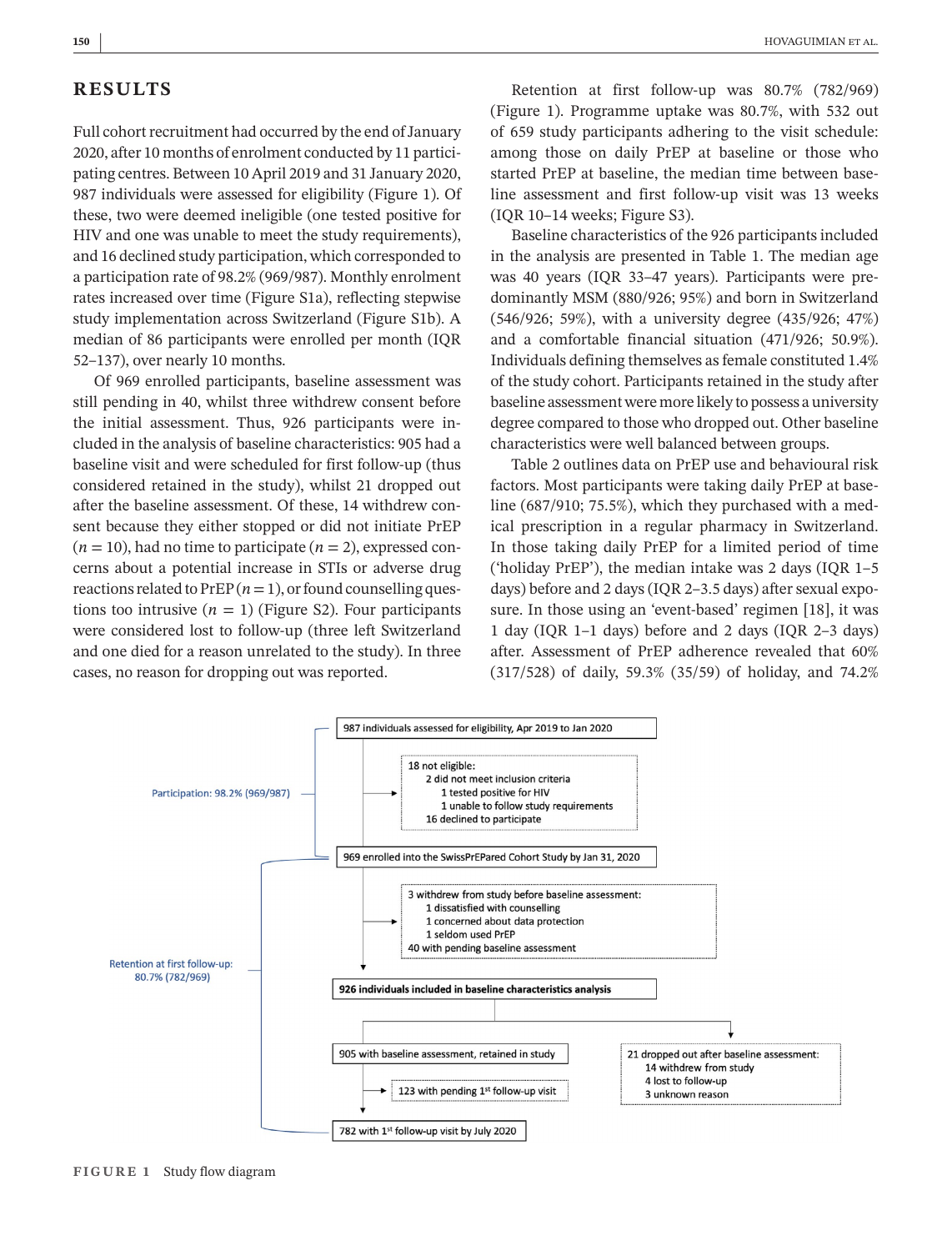# **RESULTS**

Full cohort recruitment had occurred by the end of January 2020, after 10 months of enrolment conducted by 11 participating centres. Between 10 April 2019 and 31 January 2020, 987 individuals were assessed for eligibility (Figure 1). Of these, two were deemed ineligible (one tested positive for HIV and one was unable to meet the study requirements), and 16 declined study participation, which corresponded to a participation rate of 98.2% (969/987). Monthly enrolment rates increased over time (Figure S1a), reflecting stepwise study implementation across Switzerland (Figure S1b). A median of 86 participants were enrolled per month (IQR 52–137), over nearly 10 months.

Of 969 enrolled participants, baseline assessment was still pending in 40, whilst three withdrew consent before the initial assessment. Thus, 926 participants were included in the analysis of baseline characteristics: 905 had a baseline visit and were scheduled for first follow-up (thus considered retained in the study), whilst 21 dropped out after the baseline assessment. Of these, 14 withdrew consent because they either stopped or did not initiate PrEP  $(n = 10)$ , had no time to participate  $(n = 2)$ , expressed concerns about a potential increase in STIs or adverse drug reactions related to  $PrEP(n=1)$ , or found counselling questions too intrusive  $(n = 1)$  (Figure S2). Four participants were considered lost to follow-up (three left Switzerland and one died for a reason unrelated to the study). In three cases, no reason for dropping out was reported.

Retention at first follow-up was 80.7% (782/969) (Figure 1). Programme uptake was 80.7%, with 532 out of 659 study participants adhering to the visit schedule: among those on daily PrEP at baseline or those who started PrEP at baseline, the median time between baseline assessment and first follow-up visit was 13 weeks (IQR 10–14 weeks; Figure S3).

Baseline characteristics of the 926 participants included in the analysis are presented in Table 1. The median age was 40 years (IQR 33–47 years). Participants were predominantly MSM (880/926; 95%) and born in Switzerland (546/926; 59%), with a university degree (435/926; 47%) and a comfortable financial situation (471/926; 50.9%). Individuals defining themselves asfemale constituted 1.4% of the study cohort. Participants retained in the study after baseline assessmentwere more likely to possess a university degree compared to those who dropped out. Other baseline characteristics were well balanced between groups.

Table 2 outlines data on PrEP use and behavioural risk factors. Most participants were taking daily PrEP at baseline (687/910; 75.5%), which they purchased with a medical prescription in a regular pharmacy in Switzerland. In those taking daily PrEP for a limited period of time ('holiday PrEP'), the median intake was 2 days (IQR 1–5 days) before and 2 days (IQR 2-3.5 days) after sexual exposure. In those using an 'event-based' regimen [18], it was 1 day (IQR 1–1 days) before and 2 days (IQR 2–3 days) after. Assessment of PrEP adherence revealed that 60% (317/528) of daily, 59.3% (35/59) of holiday, and 74.2%

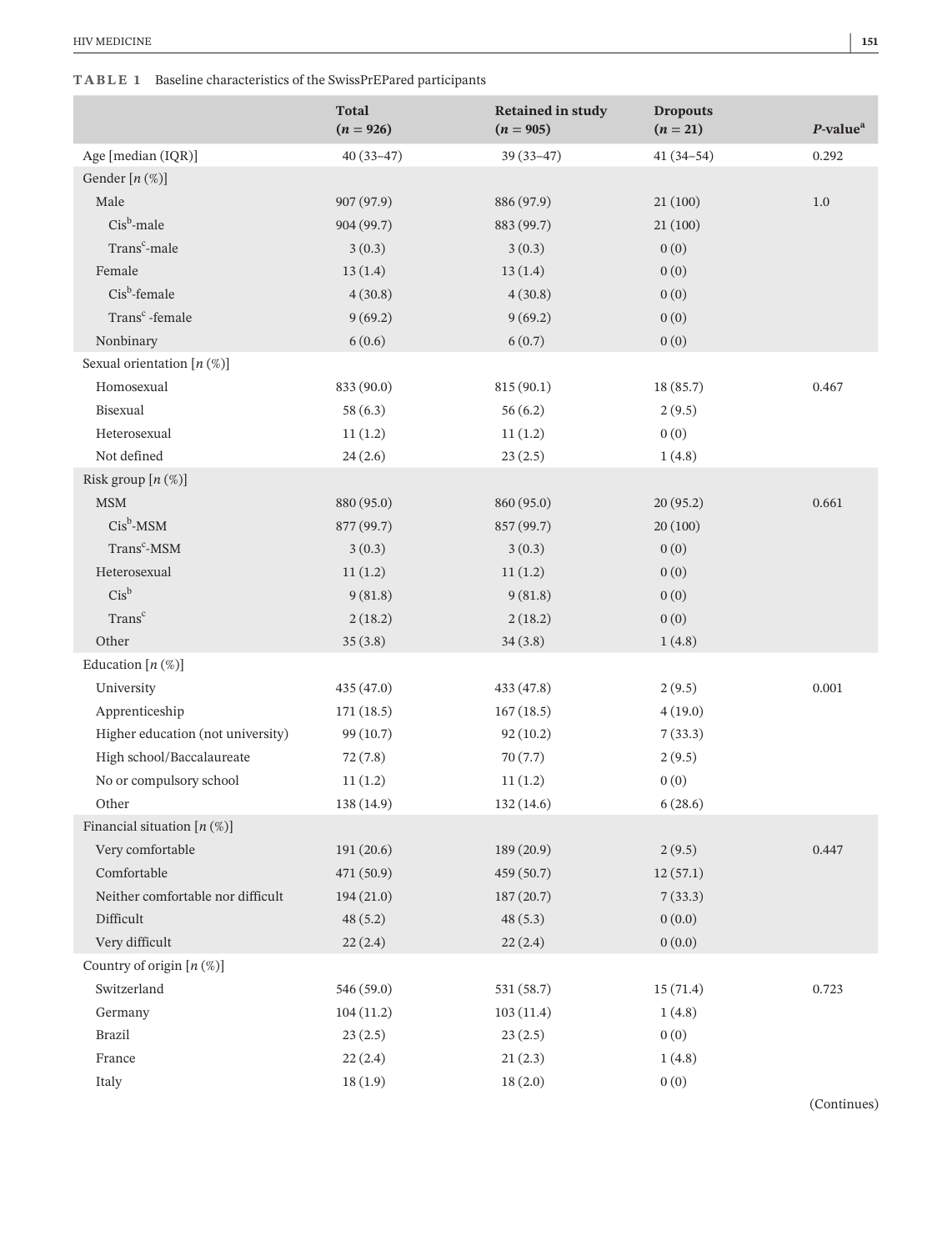# **TABLE 1** Baseline characteristics of the SwissPrEPared participants

|                                   | <b>Total</b><br>$(n = 926)$ | <b>Retained in study</b><br>$(n = 905)$ | <b>Dropouts</b><br>$(n = 21)$ | $P$ -value <sup><math>a</math></sup> |
|-----------------------------------|-----------------------------|-----------------------------------------|-------------------------------|--------------------------------------|
| Age [median (IQR)]                | $40(33-47)$                 | $39(33-47)$                             | $41(34-54)$                   | 0.292                                |
| Gender $[n(\%)]$                  |                             |                                         |                               |                                      |
| Male                              | 907 (97.9)                  | 886 (97.9)                              | 21(100)                       | 1.0                                  |
| $Cis^b$ -male                     | 904 (99.7)                  | 883 (99.7)                              | 21(100)                       |                                      |
| Trans <sup>c</sup> -male          | 3(0.3)                      | 3(0.3)                                  | 0(0)                          |                                      |
| Female                            | 13(1.4)                     | 13(1.4)                                 | 0(0)                          |                                      |
| $Cis^b$ -female                   | 4(30.8)                     | 4(30.8)                                 | 0(0)                          |                                      |
| Trans <sup>c</sup> -female        | 9(69.2)                     | 9(69.2)                                 | 0(0)                          |                                      |
| Nonbinary                         | 6(0.6)                      | 6(0.7)                                  | 0(0)                          |                                      |
| Sexual orientation $[n (\%)]$     |                             |                                         |                               |                                      |
| Homosexual                        | 833 (90.0)                  | 815 (90.1)                              | 18 (85.7)                     | 0.467                                |
| Bisexual                          | 58(6.3)                     | 56(6.2)                                 | 2(9.5)                        |                                      |
| Heterosexual                      | 11(1.2)                     | 11(1.2)                                 | 0(0)                          |                                      |
| Not defined                       | 24(2.6)                     | 23(2.5)                                 | 1(4.8)                        |                                      |
| Risk group $[n (\%)]$             |                             |                                         |                               |                                      |
| $\operatorname{\mathsf{MSM}}$     | 880 (95.0)                  | 860 (95.0)                              | 20 (95.2)                     | 0.661                                |
| $Cis^b$ -MSM                      | 877 (99.7)                  | 857 (99.7)                              | 20(100)                       |                                      |
| Trans <sup>c</sup> -MSM           | 3(0.3)                      | 3(0.3)                                  | 0(0)                          |                                      |
| Heterosexual                      | 11(1.2)                     | 11(1.2)                                 | 0(0)                          |                                      |
| $Cis^b$                           | 9(81.8)                     | 9(81.8)                                 | 0(0)                          |                                      |
| Trans <sup>c</sup>                | 2(18.2)                     | 2(18.2)                                 | 0(0)                          |                                      |
| Other                             | 35(3.8)                     | 34(3.8)                                 | 1(4.8)                        |                                      |
| Education $[n (\%)]$              |                             |                                         |                               |                                      |
| University                        | 435(47.0)                   | 433 (47.8)                              | 2(9.5)                        | 0.001                                |
| Apprenticeship                    | 171(18.5)                   | 167(18.5)                               | 4(19.0)                       |                                      |
| Higher education (not university) | 99(10.7)                    | 92(10.2)                                | 7(33.3)                       |                                      |
| High school/Baccalaureate         | 72(7.8)                     | 70(7.7)                                 | 2(9.5)                        |                                      |
| No or compulsory school           | 11(1.2)                     | 11(1.2)                                 | 0(0)                          |                                      |
| Other                             | 138 (14.9)                  | 132 (14.6)                              | 6(28.6)                       |                                      |
| Financial situation $[n (\%)]$    |                             |                                         |                               |                                      |
| Very comfortable                  | 191(20.6)                   | 189(20.9)                               | 2(9.5)                        | 0.447                                |
| Comfortable                       | 471 (50.9)                  | 459 (50.7)                              | 12(57.1)                      |                                      |
| Neither comfortable nor difficult | 194(21.0)                   | 187(20.7)                               | 7(33.3)                       |                                      |
| Difficult                         | 48(5.2)                     | 48(5.3)                                 | 0(0.0)                        |                                      |
| Very difficult                    | 22(2.4)                     | 22(2.4)                                 | 0(0.0)                        |                                      |
| Country of origin $[n (\%)]$      |                             |                                         |                               |                                      |
| Switzerland                       | 546 (59.0)                  | 531 (58.7)                              | 15(71.4)                      | 0.723                                |
| Germany                           | 104(11.2)                   | 103(11.4)                               | 1(4.8)                        |                                      |
| Brazil                            | 23(2.5)                     | 23(2.5)                                 | 0(0)                          |                                      |
| France                            | 22(2.4)                     | 21(2.3)                                 | 1(4.8)                        |                                      |
| Italy                             | 18(1.9)                     | 18(2.0)                                 | 0(0)                          |                                      |

(Continues)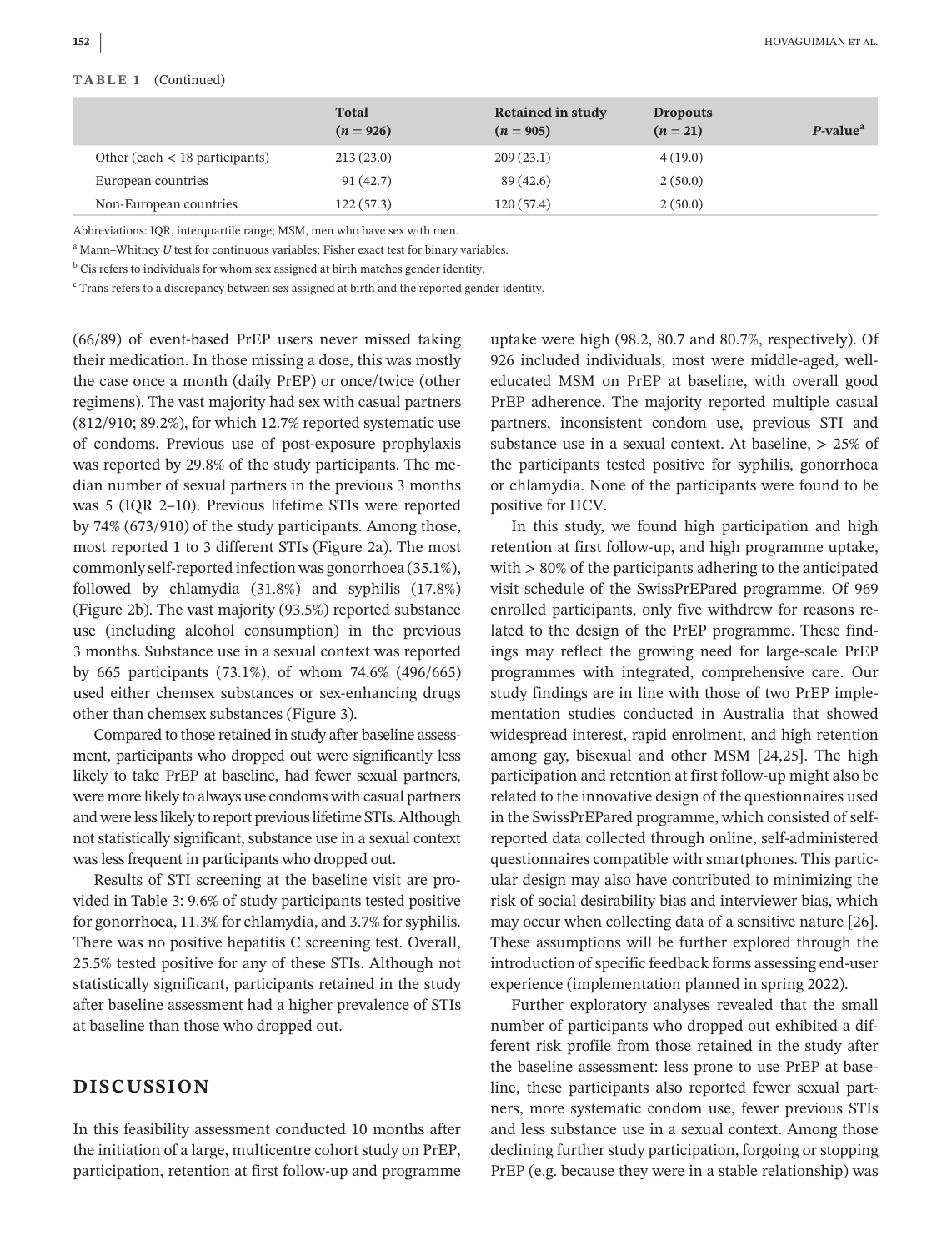#### **TABLE 1** (Continued)

|                                    | <b>Total</b><br>$(n = 926)$ | <b>Retained in study</b><br>$(n = 905)$ | <b>Dropouts</b><br>$(n = 21)$ | $P$ -value <sup><math>a</math></sup> |
|------------------------------------|-----------------------------|-----------------------------------------|-------------------------------|--------------------------------------|
| Other (each $\lt$ 18 participants) | 213(23.0)                   | 209(23.1)                               | 4(19.0)                       |                                      |
| European countries                 | 91(42.7)                    | 89(42.6)                                | 2(50.0)                       |                                      |
| Non-European countries             | 122(57.3)                   | 120(57.4)                               | 2(50.0)                       |                                      |

Abbreviations: IQR, interquartile range; MSM, men who have sex with men.

<sup>a</sup> Mann–Whitney *U* test for continuous variables; Fisher exact test for binary variables.

 $<sup>b</sup>$  Cis refers to individuals for whom sex assigned at birth matches gender identity.</sup>

 $c$  Trans refers to a discrepancy between sex assigned at birth and the reported gender identity.

(66/89) of event-based PrEP users never missed taking their medication. In those missing a dose, this was mostly the case once a month (daily PrEP) or once/twice (other regimens). The vast majority had sex with casual partners (812/910; 89.2%), for which 12.7% reported systematic use of condoms. Previous use of post-exposure prophylaxis was reported by 29.8% of the study participants. The median number of sexual partners in the previous 3 months was 5 (IQR 2–10). Previous lifetime STIs were reported by 74% (673/910) of the study participants. Among those, most reported 1 to 3 different STIs (Figure 2a). The most commonly self-reported infection was gonorrhoea (35.1%), followed by chlamydia (31.8%) and syphilis (17.8%) (Figure 2b). The vast majority (93.5%) reported substance use (including alcohol consumption) in the previous 3 months. Substance use in a sexual context was reported by 665 participants (73.1%), of whom 74.6% (496/665) used either chemsex substances or sex-enhancing drugs other than chemsex substances (Figure 3).

Compared to those retained in study after baseline assessment, participants who dropped out were significantly less likely to take PrEP at baseline, had fewer sexual partners, were more likely to always use condoms with casual partners and were less likely to report previous lifetime STIs. Although not statistically significant, substance use in a sexual context waslessfrequent in participants who dropped out.

Results of STI screening at the baseline visit are provided in Table 3: 9.6% of study participants tested positive for gonorrhoea, 11.3% for chlamydia, and 3.7% for syphilis. There was no positive hepatitis C screening test. Overall, 25.5% tested positive for any of these STIs. Although not statistically significant, participants retained in the study after baseline assessment had a higher prevalence of STIs at baseline than those who dropped out.

# **DISCUSSION**

In this feasibility assessment conducted 10 months after the initiation of a large, multicentre cohort study on PrEP, participation, retention at first follow-up and programme

uptake were high (98.2, 80.7 and 80.7%, respectively). Of 926 included individuals, most were middle-aged, welleducated MSM on PrEP at baseline, with overall good PrEP adherence. The majority reported multiple casual partners, inconsistent condom use, previous STI and substance use in a sexual context. At baseline, > 25% of the participants tested positive for syphilis, gonorrhoea or chlamydia. None of the participants were found to be positive for HCV.

In this study, we found high participation and high retention at first follow-up, and high programme uptake, with > 80% of the participants adhering to the anticipated visit schedule of the SwissPrEPared programme. Of 969 enrolled participants, only five withdrew for reasons related to the design of the PrEP programme. These findings may reflect the growing need for large-scale PrEP programmes with integrated, comprehensive care. Our study findings are in line with those of two PrEP implementation studies conducted in Australia that showed widespread interest, rapid enrolment, and high retention among gay, bisexual and other MSM [24,25]. The high participation and retention at first follow-up might also be related to the innovative design of the questionnaires used in the SwissPrEPared programme, which consisted of selfreported data collected through online, self-administered questionnaires compatible with smartphones. This particular design may also have contributed to minimizing the risk of social desirability bias and interviewer bias, which may occur when collecting data of a sensitive nature [26]. These assumptions will be further explored through the introduction of specific feedback forms assessing end-user experience (implementation planned in spring 2022).

Further exploratory analyses revealed that the small number of participants who dropped out exhibited a different risk profile from those retained in the study after the baseline assessment: less prone to use PrEP at baseline, these participants also reported fewer sexual partners, more systematic condom use, fewer previous STIs and less substance use in a sexual context. Among those declining further study participation, forgoing or stopping PrEP (e.g. because they were in a stable relationship) was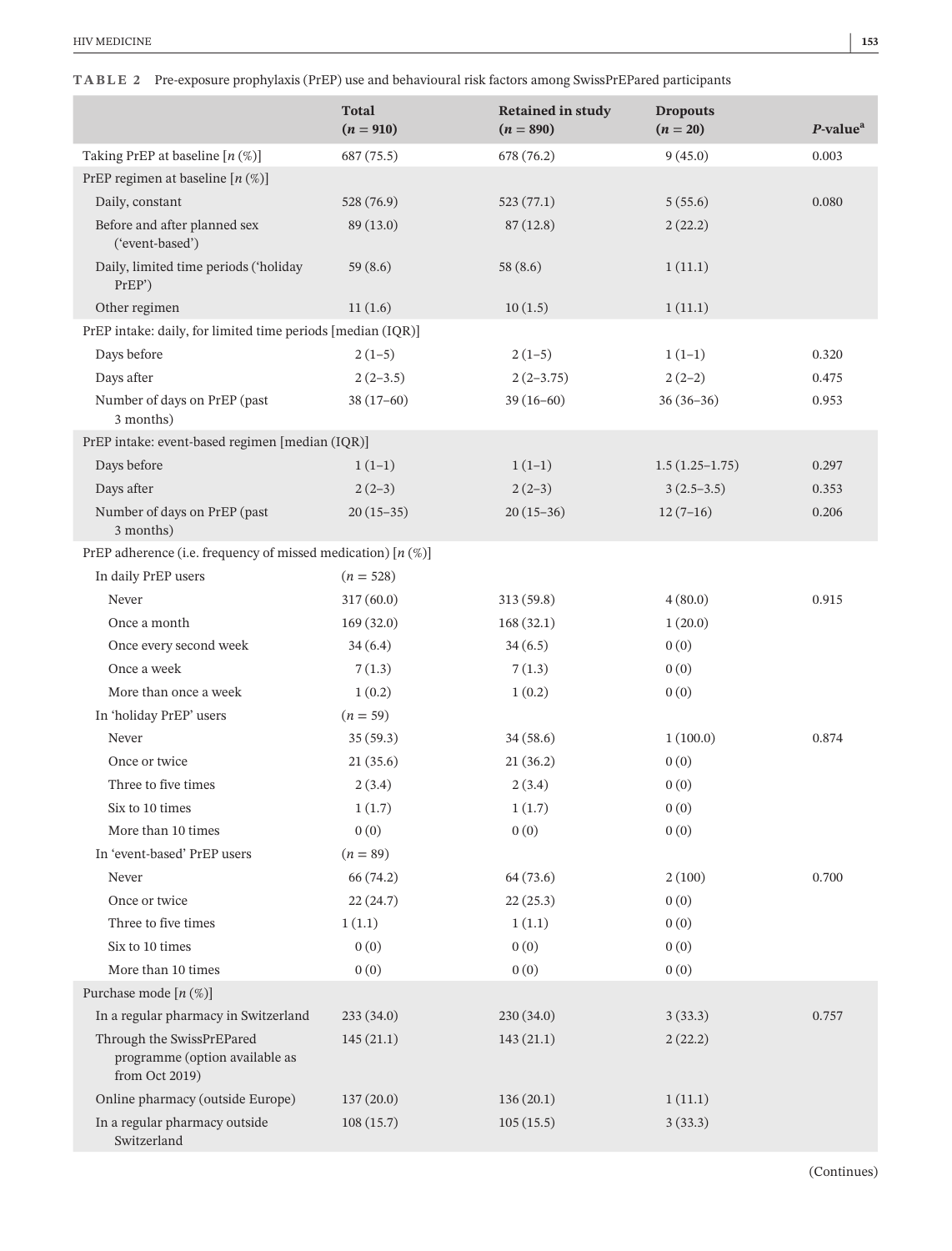|  | TABLE 2 Pre-exposure prophylaxis (PrEP) use and behavioural risk factors among SwissPrEPared participants |  |  |  |  |  |
|--|-----------------------------------------------------------------------------------------------------------|--|--|--|--|--|
|--|-----------------------------------------------------------------------------------------------------------|--|--|--|--|--|

|                                                                               | <b>Total</b><br>$(n = 910)$ | <b>Retained in study</b><br>$(n = 890)$ | <b>Dropouts</b><br>$(n = 20)$ | P-value <sup>a</sup> |  |  |
|-------------------------------------------------------------------------------|-----------------------------|-----------------------------------------|-------------------------------|----------------------|--|--|
| Taking PrEP at baseline $[n (\%)]$                                            | 687 (75.5)                  | 678 (76.2)                              | 9(45.0)                       | 0.003                |  |  |
| PrEP regimen at baseline $[n (\%)]$                                           |                             |                                         |                               |                      |  |  |
| Daily, constant                                                               | 528 (76.9)                  | 523(77.1)                               | 5(55.6)                       | 0.080                |  |  |
| Before and after planned sex<br>('event-based')                               | 89(13.0)                    | 87(12.8)                                | 2(22.2)                       |                      |  |  |
| Daily, limited time periods ('holiday<br>PrEP')                               | 59(8.6)                     | 58(8.6)                                 | 1(11.1)                       |                      |  |  |
| Other regimen                                                                 | 11(1.6)                     | 10(1.5)                                 | 1(11.1)                       |                      |  |  |
| PrEP intake: daily, for limited time periods [median (IQR)]                   |                             |                                         |                               |                      |  |  |
| Days before                                                                   | $2(1-5)$                    | $2(1-5)$                                | $1(1-1)$                      | 0.320                |  |  |
| Days after                                                                    | $2(2-3.5)$                  | $2(2-3.75)$                             | $2(2-2)$                      | 0.475                |  |  |
| Number of days on PrEP (past<br>3 months)                                     | $38(17-60)$                 | $39(16-60)$                             | $36(36-36)$                   | 0.953                |  |  |
| PrEP intake: event-based regimen [median (IQR)]                               |                             |                                         |                               |                      |  |  |
| Days before                                                                   | $1(1-1)$                    | $1(1-1)$                                | $1.5(1.25-1.75)$              | 0.297                |  |  |
| Days after                                                                    | $2(2-3)$                    | $2(2-3)$                                | $3(2.5-3.5)$                  | 0.353                |  |  |
| Number of days on PrEP (past<br>3 months)                                     | $20(15-35)$                 | $20(15-36)$                             | $12(7-16)$                    | 0.206                |  |  |
| PrEP adherence (i.e. frequency of missed medication) $[n (\%)]$               |                             |                                         |                               |                      |  |  |
| In daily PrEP users                                                           | $(n = 528)$                 |                                         |                               |                      |  |  |
| Never                                                                         | 317(60.0)                   | 313 (59.8)                              | 4(80.0)                       | 0.915                |  |  |
| Once a month                                                                  | 169(32.0)                   | 168(32.1)                               | 1(20.0)                       |                      |  |  |
| Once every second week                                                        | 34(6.4)                     | 34(6.5)                                 | 0(0)                          |                      |  |  |
| Once a week                                                                   | 7(1.3)                      | 7(1.3)                                  | 0(0)                          |                      |  |  |
| More than once a week                                                         | 1(0.2)                      | 1(0.2)                                  | 0(0)                          |                      |  |  |
| In 'holiday PrEP' users                                                       | $(n = 59)$                  |                                         |                               |                      |  |  |
| Never                                                                         | 35(59.3)                    | 34(58.6)                                | 1(100.0)                      | 0.874                |  |  |
| Once or twice                                                                 | 21(35.6)                    | 21(36.2)                                | 0(0)                          |                      |  |  |
| Three to five times                                                           | 2(3.4)                      | 2(3.4)                                  | 0(0)                          |                      |  |  |
| Six to 10 times                                                               | 1(1.7)                      | 1(1.7)                                  | 0(0)                          |                      |  |  |
| More than 10 times                                                            | 0(0)                        | 0(0)                                    | 0(0)                          |                      |  |  |
| In 'event-based' PrEP users                                                   | $(n = 89)$                  |                                         |                               |                      |  |  |
| Never                                                                         | 66 (74.2)                   | 64(73.6)                                | 2(100)                        | 0.700                |  |  |
| Once or twice                                                                 | 22(24.7)                    | 22(25.3)                                | 0(0)                          |                      |  |  |
| Three to five times                                                           | 1(1.1)                      | 1(1.1)                                  | 0(0)                          |                      |  |  |
| Six to 10 times                                                               | 0(0)                        | 0(0)                                    | 0(0)                          |                      |  |  |
| More than 10 times                                                            | 0(0)                        | 0(0)                                    | 0(0)                          |                      |  |  |
| Purchase mode $[n (\%)]$                                                      |                             |                                         |                               |                      |  |  |
| In a regular pharmacy in Switzerland                                          | 233(34.0)                   | 230(34.0)                               | 3(33.3)                       | 0.757                |  |  |
| Through the SwissPrEPared<br>programme (option available as<br>from Oct 2019) | 145(21.1)                   | 143(21.1)                               | 2(22.2)                       |                      |  |  |
| Online pharmacy (outside Europe)                                              | 137(20.0)                   | 136(20.1)                               | 1(11.1)                       |                      |  |  |
| In a regular pharmacy outside<br>Switzerland                                  | 108(15.7)                   | 105(15.5)                               | 3(33.3)                       |                      |  |  |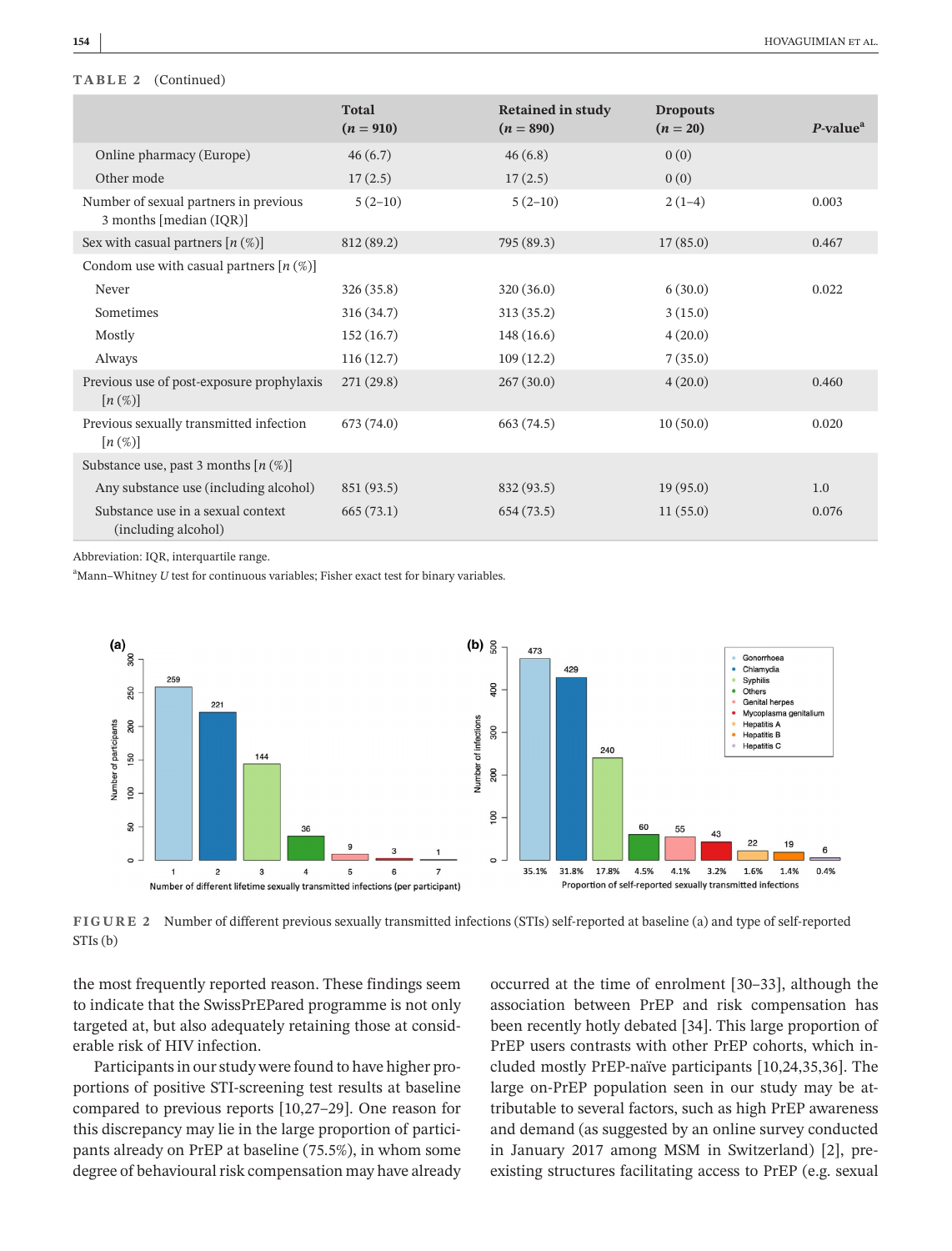#### **TABLE 2** (Continued)

|                                                                  | <b>Total</b><br>$(n = 910)$ | <b>Retained in study</b><br>$(n = 890)$ | <b>Dropouts</b><br>$(n = 20)$ | $P-valuea$ |
|------------------------------------------------------------------|-----------------------------|-----------------------------------------|-------------------------------|------------|
| Online pharmacy (Europe)                                         | 46(6.7)                     | 46(6.8)                                 | 0(0)                          |            |
| Other mode                                                       | 17(2.5)                     | 17(2.5)                                 | 0(0)                          |            |
| Number of sexual partners in previous<br>3 months [median (IQR)] | $5(2-10)$                   | $5(2-10)$                               | $2(1-4)$                      | 0.003      |
| Sex with casual partners $[n (\%)]$                              | 812 (89.2)                  | 795 (89.3)                              | 17(85.0)                      | 0.467      |
| Condom use with casual partners $[n (\%)]$                       |                             |                                         |                               |            |
| Never                                                            | 326(35.8)                   | 320(36.0)                               | 6(30.0)                       | 0.022      |
| Sometimes                                                        | 316(34.7)                   | 313(35.2)                               | 3(15.0)                       |            |
| Mostly                                                           | 152(16.7)                   | 148 (16.6)                              | 4(20.0)                       |            |
| Always                                                           | 116(12.7)                   | 109(12.2)                               | 7(35.0)                       |            |
| Previous use of post-exposure prophylaxis<br>$[n(\%)]$           | 271(29.8)                   | 267(30.0)                               | 4(20.0)                       | 0.460      |
| Previous sexually transmitted infection<br>$[n(\%)]$             | 673(74.0)                   | 663 (74.5)                              | 10(50.0)                      | 0.020      |
| Substance use, past 3 months $[n (\%)]$                          |                             |                                         |                               |            |
| Any substance use (including alcohol)                            | 851 (93.5)                  | 832 (93.5)                              | 19(95.0)                      | 1.0        |
| Substance use in a sexual context<br>(including alcohol)         | 665(73.1)                   | 654(73.5)                               | 11(55.0)                      | 0.076      |

Abbreviation: IQR, interquartile range.

<sup>a</sup>Mann-Whitney *U* test for continuous variables; Fisher exact test for binary variables.



**FIGURE 2** Number of different previous sexually transmitted infections (STIs) self-reported at baseline (a) and type of self-reported STIs (b)

the most frequently reported reason. These findings seem to indicate that the SwissPrEPared programme is not only targeted at, but also adequately retaining those at considerable risk of HIV infection.

Participants in our study were found to have higher proportions of positive STI-screening test results at baseline compared to previous reports [10,27–29]. One reason for this discrepancy may lie in the large proportion of participants already on PrEP at baseline (75.5%), in whom some degree of behavioural risk compensation may have already occurred at the time of enrolment [30–33], although the association between PrEP and risk compensation has been recently hotly debated [34]. This large proportion of PrEP users contrasts with other PrEP cohorts, which included mostly PrEP-naïve participants [10,24,35,36]. The large on-PrEP population seen in our study may be attributable to several factors, such as high PrEP awareness and demand (as suggested by an online survey conducted in January 2017 among MSM in Switzerland) [2], preexisting structures facilitating access to PrEP (e.g. sexual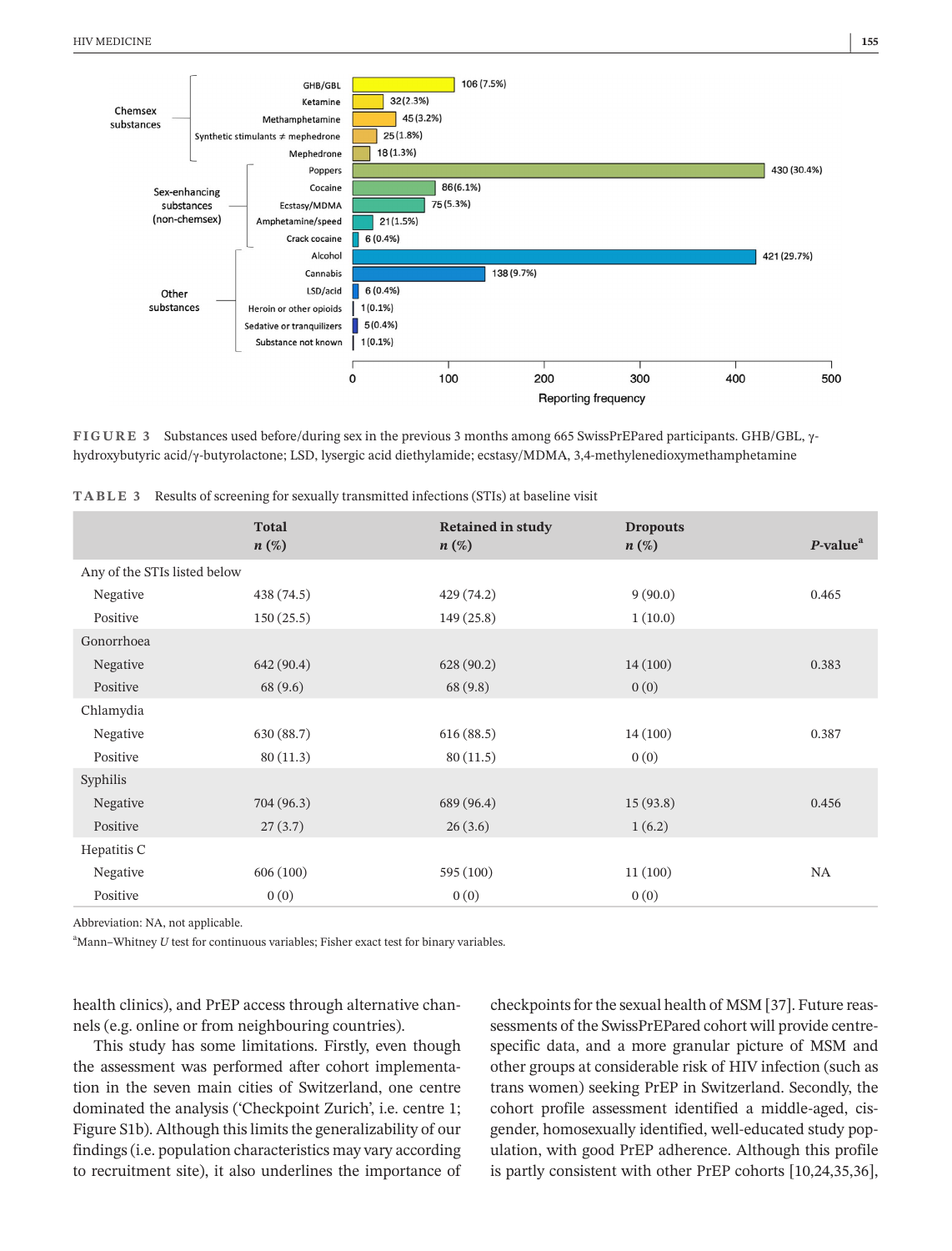

**FIGURE 3** Substances used before/during sex in the previous 3 months among 665 SwissPrEPared participants. GHB/GBL, γhydroxybutyric acid/γ-butyrolactone; LSD, lysergic acid diethylamide; ecstasy/MDMA, 3,4-methylenedioxymethamphetamine

|                              | <b>Total</b><br>$n(\%)$ | <b>Retained in study</b><br>$n(\%)$ | <b>Dropouts</b><br>$n(\%)$ | $P$ -value <sup><math>a</math></sup> |
|------------------------------|-------------------------|-------------------------------------|----------------------------|--------------------------------------|
| Any of the STIs listed below |                         |                                     |                            |                                      |
| Negative                     | 438 (74.5)              | 429(74.2)                           | 9(90.0)                    | 0.465                                |
| Positive                     | 150(25.5)               | 149(25.8)                           | 1(10.0)                    |                                      |
| Gonorrhoea                   |                         |                                     |                            |                                      |
| Negative                     | 642(90.4)               | 628(90.2)                           | 14(100)                    | 0.383                                |
| Positive                     | 68(9.6)                 | 68(9.8)                             | 0(0)                       |                                      |
| Chlamydia                    |                         |                                     |                            |                                      |
| Negative                     | 630 (88.7)              | 616(88.5)                           | 14(100)                    | 0.387                                |
| Positive                     | 80(11.3)                | 80(11.5)                            | 0(0)                       |                                      |
| Syphilis                     |                         |                                     |                            |                                      |
| Negative                     | 704 (96.3)              | 689 (96.4)                          | 15(93.8)                   | 0.456                                |
| Positive                     | 27(3.7)                 | 26(3.6)                             | 1(6.2)                     |                                      |
| Hepatitis C                  |                         |                                     |                            |                                      |
| Negative                     | 606(100)                | 595 (100)                           | 11(100)                    | NA                                   |
| Positive                     | 0(0)                    | 0(0)                                | 0(0)                       |                                      |

**TABLE 3** Results of screening for sexually transmitted infections (STIs) at baseline visit

Abbreviation: NA, not applicable.

<sup>a</sup>Mann-Whitney *U* test for continuous variables; Fisher exact test for binary variables.

health clinics), and PrEP access through alternative channels (e.g. online or from neighbouring countries).

This study has some limitations. Firstly, even though the assessment was performed after cohort implementation in the seven main cities of Switzerland, one centre dominated the analysis ('Checkpoint Zurich', i.e. centre 1; Figure S1b). Although this limits the generalizability of our findings(i.e. population characteristics may vary according to recruitment site), it also underlines the importance of

checkpoints for the sexual health of MSM [37]. Future reassessments of the SwissPrEPared cohort will provide centrespecific data, and a more granular picture of MSM and other groups at considerable risk of HIV infection (such as trans women) seeking PrEP in Switzerland. Secondly, the cohort profile assessment identified a middle-aged, cisgender, homosexually identified, well-educated study population, with good PrEP adherence. Although this profile is partly consistent with other PrEP cohorts [10,24,35,36],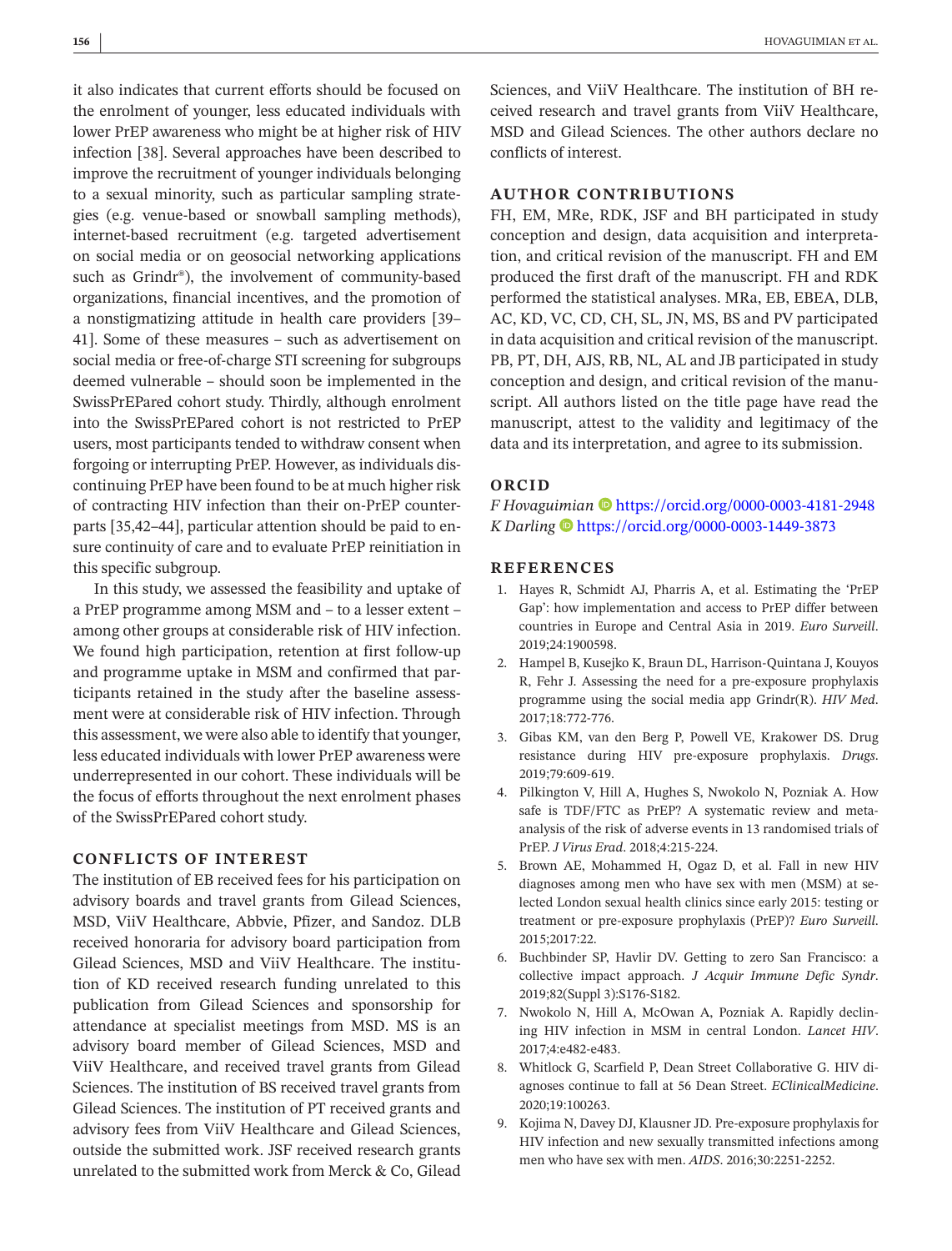it also indicates that current efforts should be focused on the enrolment of younger, less educated individuals with lower PrEP awareness who might be at higher risk of HIV infection [38]. Several approaches have been described to improve the recruitment of younger individuals belonging to a sexual minority, such as particular sampling strategies (e.g. venue-based or snowball sampling methods), internet-based recruitment (e.g. targeted advertisement on social media or on geosocial networking applications such as Grindr®), the involvement of community-based organizations, financial incentives, and the promotion of a nonstigmatizing attitude in health care providers [39– 41]. Some of these measures – such as advertisement on social media or free-of-charge STI screening for subgroups deemed vulnerable – should soon be implemented in the SwissPrEPared cohort study. Thirdly, although enrolment into the SwissPrEPared cohort is not restricted to PrEP users, most participants tended to withdraw consent when forgoing or interrupting PrEP. However, as individuals discontinuing PrEP have been found to be at much higher risk of contracting HIV infection than their on-PrEP counterparts [35,42–44], particular attention should be paid to ensure continuity of care and to evaluate PrEP reinitiation in this specific subgroup.

In this study, we assessed the feasibility and uptake of a PrEP programme among MSM and – to a lesser extent – among other groups at considerable risk of HIV infection. We found high participation, retention at first follow-up and programme uptake in MSM and confirmed that participants retained in the study after the baseline assessment were at considerable risk of HIV infection. Through this assessment, we were also able to identify that younger, less educated individuals with lower PrEP awareness were underrepresented in our cohort. These individuals will be the focus of efforts throughout the next enrolment phases of the SwissPrEPared cohort study.

### **CONFLICTS OF INTEREST**

The institution of EB received fees for his participation on advisory boards and travel grants from Gilead Sciences, MSD, ViiV Healthcare, Abbvie, Pfizer, and Sandoz. DLB received honoraria for advisory board participation from Gilead Sciences, MSD and ViiV Healthcare. The institution of KD received research funding unrelated to this publication from Gilead Sciences and sponsorship for attendance at specialist meetings from MSD. MS is an advisory board member of Gilead Sciences, MSD and ViiV Healthcare, and received travel grants from Gilead Sciences. The institution of BS received travel grants from Gilead Sciences. The institution of PT received grants and advisory fees from ViiV Healthcare and Gilead Sciences, outside the submitted work. JSF received research grants unrelated to the submitted work from Merck & Co, Gilead Sciences, and ViiV Healthcare. The institution of BH received research and travel grants from ViiV Healthcare, MSD and Gilead Sciences. The other authors declare no conflicts of interest.

### **AUTHOR CONTRIBUTIONS**

FH, EM, MRe, RDK, JSF and BH participated in study conception and design, data acquisition and interpretation, and critical revision of the manuscript. FH and EM produced the first draft of the manuscript. FH and RDK performed the statistical analyses. MRa, EB, EBEA, DLB, AC, KD, VC, CD, CH, SL, JN, MS, BS and PV participated in data acquisition and critical revision of the manuscript. PB, PT, DH, AJS, RB, NL, AL and JB participated in study conception and design, and critical revision of the manuscript. All authors listed on the title page have read the manuscript, attest to the validity and legitimacy of the data and its interpretation, and agree to its submission.

### **ORCID**

*F Hovaguimian* <https://orcid.org/0000-0003-4181-2948> *K Darling* **b** <https://orcid.org/0000-0003-1449-3873>

#### **REFERENCES**

- 1. Hayes R, Schmidt AJ, Pharris A, et al. Estimating the 'PrEP Gap': how implementation and access to PrEP differ between countries in Europe and Central Asia in 2019. *Euro Surveill*. 2019;24:1900598.
- 2. Hampel B, Kusejko K, Braun DL, Harrison-Quintana J, Kouyos R, Fehr J. Assessing the need for a pre-exposure prophylaxis programme using the social media app Grindr(R). *HIV Med*. 2017;18:772-776.
- 3. Gibas KM, van den Berg P, Powell VE, Krakower DS. Drug resistance during HIV pre-exposure prophylaxis. *Drugs*. 2019;79:609-619.
- 4. Pilkington V, Hill A, Hughes S, Nwokolo N, Pozniak A. How safe is TDF/FTC as PrEP? A systematic review and metaanalysis of the risk of adverse events in 13 randomised trials of PrEP. *J Virus Erad*. 2018;4:215-224.
- 5. Brown AE, Mohammed H, Ogaz D, et al. Fall in new HIV diagnoses among men who have sex with men (MSM) at selected London sexual health clinics since early 2015: testing or treatment or pre-exposure prophylaxis (PrEP)? *Euro Surveill*. 2015;2017:22.
- 6. Buchbinder SP, Havlir DV. Getting to zero San Francisco: a collective impact approach. *J Acquir Immune Defic Syndr*. 2019;82(Suppl 3):S176-S182.
- 7. Nwokolo N, Hill A, McOwan A, Pozniak A. Rapidly declining HIV infection in MSM in central London. *Lancet HIV*. 2017;4:e482-e483.
- 8. Whitlock G, Scarfield P, Dean Street Collaborative G. HIV diagnoses continue to fall at 56 Dean Street. *EClinicalMedicine*. 2020;19:100263.
- 9. Kojima N, Davey DJ, Klausner JD. Pre-exposure prophylaxis for HIV infection and new sexually transmitted infections among men who have sex with men. *AIDS*. 2016;30:2251-2252.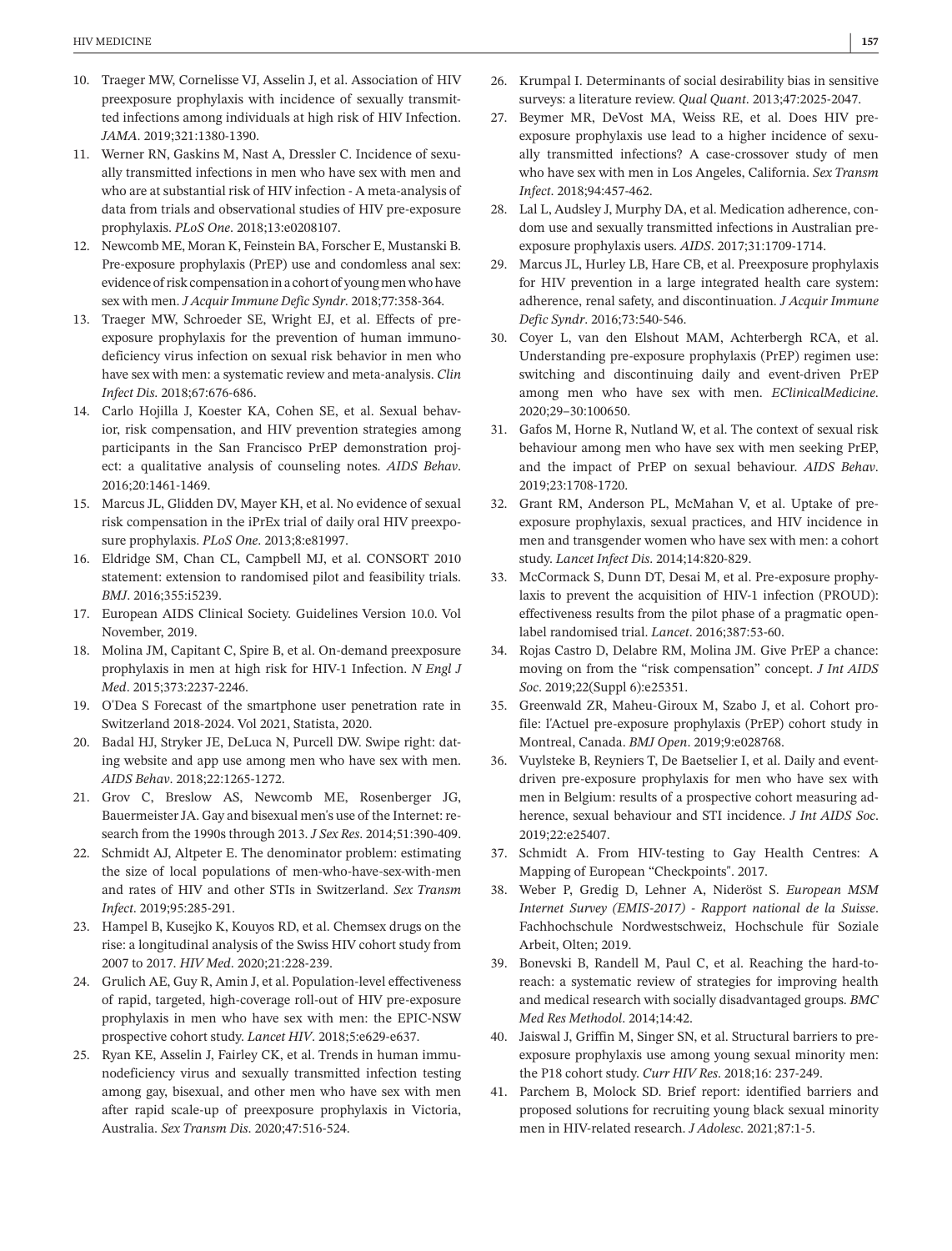- 10. Traeger MW, Cornelisse VJ, Asselin J, et al. Association of HIV preexposure prophylaxis with incidence of sexually transmitted infections among individuals at high risk of HIV Infection. *JAMA*. 2019;321:1380-1390.
- 11. Werner RN, Gaskins M, Nast A, Dressler C. Incidence of sexually transmitted infections in men who have sex with men and who are at substantial risk of HIV infection - A meta-analysis of data from trials and observational studies of HIV pre-exposure prophylaxis. *PLoS One*. 2018;13:e0208107.
- 12. Newcomb ME, Moran K, Feinstein BA, Forscher E, Mustanski B. Pre-exposure prophylaxis (PrEP) use and condomless anal sex: evidence of risk compensation in a cohort of young men who have sex with men. *J Acquir Immune Defic Syndr*. 2018;77:358-364.
- 13. Traeger MW, Schroeder SE, Wright EJ, et al. Effects of preexposure prophylaxis for the prevention of human immunodeficiency virus infection on sexual risk behavior in men who have sex with men: a systematic review and meta-analysis. *Clin Infect Dis*. 2018;67:676-686.
- 14. Carlo Hojilla J, Koester KA, Cohen SE, et al. Sexual behavior, risk compensation, and HIV prevention strategies among participants in the San Francisco PrEP demonstration project: a qualitative analysis of counseling notes. *AIDS Behav*. 2016;20:1461-1469.
- 15. Marcus JL, Glidden DV, Mayer KH, et al. No evidence of sexual risk compensation in the iPrEx trial of daily oral HIV preexposure prophylaxis. *PLoS One*. 2013;8:e81997.
- 16. Eldridge SM, Chan CL, Campbell MJ, et al. CONSORT 2010 statement: extension to randomised pilot and feasibility trials. *BMJ*. 2016;355:i5239.
- 17. European AIDS Clinical Society. Guidelines Version 10.0. Vol November, 2019.
- 18. Molina JM, Capitant C, Spire B, et al. On-demand preexposure prophylaxis in men at high risk for HIV-1 Infection. *N Engl J Med*. 2015;373:2237-2246.
- 19. O'Dea S Forecast of the smartphone user penetration rate in Switzerland 2018-2024. Vol 2021, Statista, 2020.
- 20. Badal HJ, Stryker JE, DeLuca N, Purcell DW. Swipe right: dating website and app use among men who have sex with men. *AIDS Behav*. 2018;22:1265-1272.
- 21. Grov C, Breslow AS, Newcomb ME, Rosenberger JG, Bauermeister JA. Gay and bisexual men's use of the Internet: research from the 1990s through 2013. *J Sex Res*. 2014;51:390-409.
- 22. Schmidt AJ, Altpeter E. The denominator problem: estimating the size of local populations of men-who-have-sex-with-men and rates of HIV and other STIs in Switzerland. *Sex Transm Infect*. 2019;95:285-291.
- 23. Hampel B, Kusejko K, Kouyos RD, et al. Chemsex drugs on the rise: a longitudinal analysis of the Swiss HIV cohort study from 2007 to 2017. *HIV Med*. 2020;21:228-239.
- 24. Grulich AE, Guy R, Amin J, et al. Population-level effectiveness of rapid, targeted, high-coverage roll-out of HIV pre-exposure prophylaxis in men who have sex with men: the EPIC-NSW prospective cohort study. *Lancet HIV*. 2018;5:e629-e637.
- 25. Ryan KE, Asselin J, Fairley CK, et al. Trends in human immunodeficiency virus and sexually transmitted infection testing among gay, bisexual, and other men who have sex with men after rapid scale-up of preexposure prophylaxis in Victoria, Australia. *Sex Transm Dis*. 2020;47:516-524.
- 26. Krumpal I. Determinants of social desirability bias in sensitive surveys: a literature review. *Qual Quant*. 2013;47:2025-2047.
- 27. Beymer MR, DeVost MA, Weiss RE, et al. Does HIV preexposure prophylaxis use lead to a higher incidence of sexually transmitted infections? A case-crossover study of men who have sex with men in Los Angeles, California. *Sex Transm Infect*. 2018;94:457-462.
- 28. Lal L, Audsley J, Murphy DA, et al. Medication adherence, condom use and sexually transmitted infections in Australian preexposure prophylaxis users. *AIDS*. 2017;31:1709-1714.
- 29. Marcus JL, Hurley LB, Hare CB, et al. Preexposure prophylaxis for HIV prevention in a large integrated health care system: adherence, renal safety, and discontinuation. *J Acquir Immune Defic Syndr*. 2016;73:540-546.
- 30. Coyer L, van den Elshout MAM, Achterbergh RCA, et al. Understanding pre-exposure prophylaxis (PrEP) regimen use: switching and discontinuing daily and event-driven PrEP among men who have sex with men. *EClinicalMedicine*. 2020;29–30:100650.
- 31. Gafos M, Horne R, Nutland W, et al. The context of sexual risk behaviour among men who have sex with men seeking PrEP, and the impact of PrEP on sexual behaviour. *AIDS Behav*. 2019;23:1708-1720.
- 32. Grant RM, Anderson PL, McMahan V, et al. Uptake of preexposure prophylaxis, sexual practices, and HIV incidence in men and transgender women who have sex with men: a cohort study. *Lancet Infect Dis*. 2014;14:820-829.
- 33. McCormack S, Dunn DT, Desai M, et al. Pre-exposure prophylaxis to prevent the acquisition of HIV-1 infection (PROUD): effectiveness results from the pilot phase of a pragmatic openlabel randomised trial. *Lancet*. 2016;387:53-60.
- 34. Rojas Castro D, Delabre RM, Molina JM. Give PrEP a chance: moving on from the "risk compensation" concept. *J Int AIDS Soc*. 2019;22(Suppl 6):e25351.
- 35. Greenwald ZR, Maheu-Giroux M, Szabo J, et al. Cohort profile: l'Actuel pre-exposure prophylaxis (PrEP) cohort study in Montreal, Canada. *BMJ Open*. 2019;9:e028768.
- 36. Vuylsteke B, Reyniers T, De Baetselier I, et al. Daily and eventdriven pre-exposure prophylaxis for men who have sex with men in Belgium: results of a prospective cohort measuring adherence, sexual behaviour and STI incidence. *J Int AIDS Soc*. 2019;22:e25407.
- 37. Schmidt A. From HIV-testing to Gay Health Centres: A Mapping of European "Checkpoints". 2017.
- 38. Weber P, Gredig D, Lehner A, Nideröst S. *European MSM Internet Survey (EMIS-2017) - Rapport national de la Suisse*. Fachhochschule Nordwestschweiz, Hochschule für Soziale Arbeit, Olten; 2019.
- 39. Bonevski B, Randell M, Paul C, et al. Reaching the hard-toreach: a systematic review of strategies for improving health and medical research with socially disadvantaged groups. *BMC Med Res Methodol*. 2014;14:42.
- 40. Jaiswal J, Griffin M, Singer SN, et al. Structural barriers to preexposure prophylaxis use among young sexual minority men: the P18 cohort study. *Curr HIV Res*. 2018;16: 237-249.
- 41. Parchem B, Molock SD. Brief report: identified barriers and proposed solutions for recruiting young black sexual minority men in HIV-related research. *J Adolesc*. 2021;87:1-5.